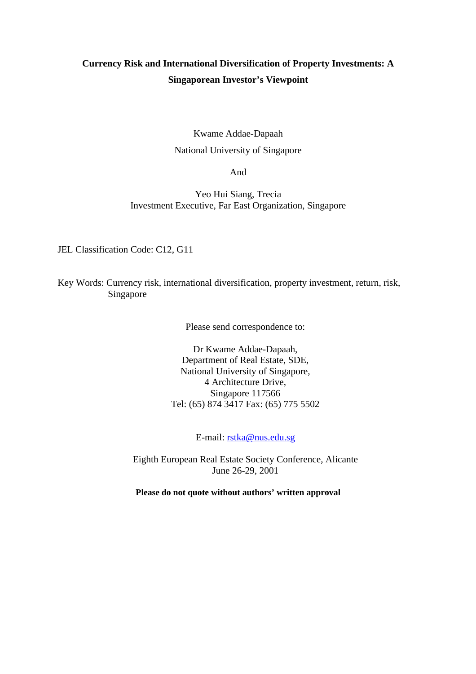# **Currency Risk and International Diversification of Property Investments: A Singaporean Investor's Viewpoint**

# Kwame Addae-Dapaah National University of Singapore

And

Yeo Hui Siang, Trecia Investment Executive, Far East Organization, Singapore

JEL Classification Code: C12, G11

Key Words: Currency risk, international diversification, property investment, return, risk, Singapore

Please send correspondence to:

Dr Kwame Addae-Dapaah, Department of Real Estate, SDE, National University of Singapore, 4 Architecture Drive, Singapore 117566 Tel: (65) 874 3417 Fax: (65) 775 5502

E-mail: rstka@nus.edu.sg

Eighth European Real Estate Society Conference, Alicante June 26-29, 2001

**Please do not quote without authors' written approval**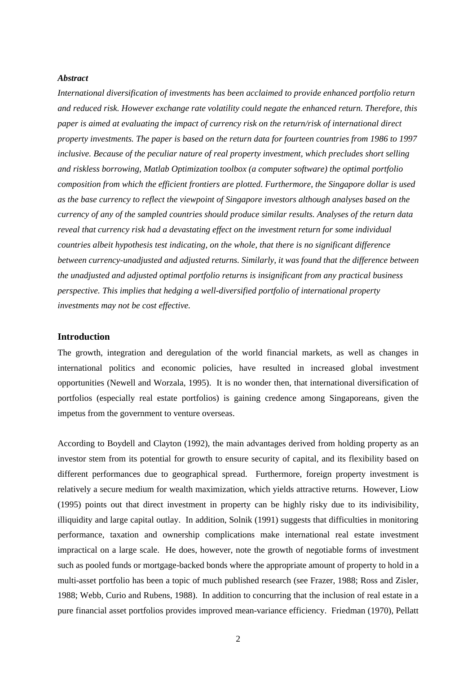#### *Abstract*

*International diversification of investments has been acclaimed to provide enhanced portfolio return and reduced risk. However exchange rate volatility could negate the enhanced return. Therefore, this paper is aimed at evaluating the impact of currency risk on the return/risk of international direct property investments. The paper is based on the return data for fourteen countries from 1986 to 1997 inclusive. Because of the peculiar nature of real property investment, which precludes short selling and riskless borrowing, Matlab Optimization toolbox (a computer software) the optimal portfolio composition from which the efficient frontiers are plotted. Furthermore, the Singapore dollar is used as the base currency to reflect the viewpoint of Singapore investors although analyses based on the currency of any of the sampled countries should produce similar results. Analyses of the return data reveal that currency risk had a devastating effect on the investment return for some individual countries albeit hypothesis test indicating, on the whole, that there is no significant difference between currency-unadjusted and adjusted returns. Similarly, it was found that the difference between the unadjusted and adjusted optimal portfolio returns is insignificant from any practical business perspective. This implies that hedging a well-diversified portfolio of international property investments may not be cost effective.*

### **Introduction**

The growth, integration and deregulation of the world financial markets, as well as changes in international politics and economic policies, have resulted in increased global investment opportunities (Newell and Worzala, 1995). It is no wonder then, that international diversification of portfolios (especially real estate portfolios) is gaining credence among Singaporeans, given the impetus from the government to venture overseas.

According to Boydell and Clayton (1992), the main advantages derived from holding property as an investor stem from its potential for growth to ensure security of capital, and its flexibility based on different performances due to geographical spread. Furthermore, foreign property investment is relatively a secure medium for wealth maximization, which yields attractive returns. However, Liow (1995) points out that direct investment in property can be highly risky due to its indivisibility, illiquidity and large capital outlay. In addition, Solnik (1991) suggests that difficulties in monitoring performance, taxation and ownership complications make international real estate investment impractical on a large scale. He does, however, note the growth of negotiable forms of investment such as pooled funds or mortgage-backed bonds where the appropriate amount of property to hold in a multi-asset portfolio has been a topic of much published research (see Frazer, 1988; Ross and Zisler, 1988; Webb, Curio and Rubens, 1988). In addition to concurring that the inclusion of real estate in a pure financial asset portfolios provides improved mean-variance efficiency. Friedman (1970), Pellatt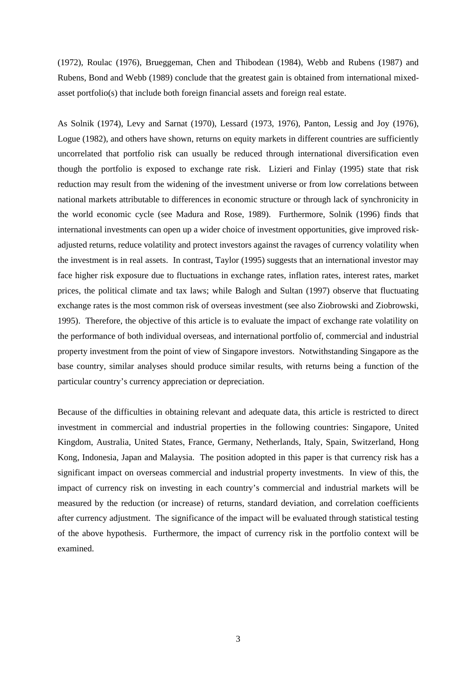(1972), Roulac (1976), Brueggeman, Chen and Thibodean (1984), Webb and Rubens (1987) and Rubens, Bond and Webb (1989) conclude that the greatest gain is obtained from international mixedasset portfolio(s) that include both foreign financial assets and foreign real estate.

As Solnik (1974), Levy and Sarnat (1970), Lessard (1973, 1976), Panton, Lessig and Joy (1976), Logue (1982), and others have shown, returns on equity markets in different countries are sufficiently uncorrelated that portfolio risk can usually be reduced through international diversification even though the portfolio is exposed to exchange rate risk. Lizieri and Finlay (1995) state that risk reduction may result from the widening of the investment universe or from low correlations between national markets attributable to differences in economic structure or through lack of synchronicity in the world economic cycle (see Madura and Rose, 1989). Furthermore, Solnik (1996) finds that international investments can open up a wider choice of investment opportunities, give improved riskadjusted returns, reduce volatility and protect investors against the ravages of currency volatility when the investment is in real assets. In contrast, Taylor (1995) suggests that an international investor may face higher risk exposure due to fluctuations in exchange rates, inflation rates, interest rates, market prices, the political climate and tax laws; while Balogh and Sultan (1997) observe that fluctuating exchange rates is the most common risk of overseas investment (see also Ziobrowski and Ziobrowski, 1995). Therefore, the objective of this article is to evaluate the impact of exchange rate volatility on the performance of both individual overseas, and international portfolio of, commercial and industrial property investment from the point of view of Singapore investors. Notwithstanding Singapore as the base country, similar analyses should produce similar results, with returns being a function of the particular country's currency appreciation or depreciation.

Because of the difficulties in obtaining relevant and adequate data, this article is restricted to direct investment in commercial and industrial properties in the following countries: Singapore, United Kingdom, Australia, United States, France, Germany, Netherlands, Italy, Spain, Switzerland, Hong Kong, Indonesia, Japan and Malaysia. The position adopted in this paper is that currency risk has a significant impact on overseas commercial and industrial property investments. In view of this, the impact of currency risk on investing in each country's commercial and industrial markets will be measured by the reduction (or increase) of returns, standard deviation, and correlation coefficients after currency adjustment. The significance of the impact will be evaluated through statistical testing of the above hypothesis. Furthermore, the impact of currency risk in the portfolio context will be examined.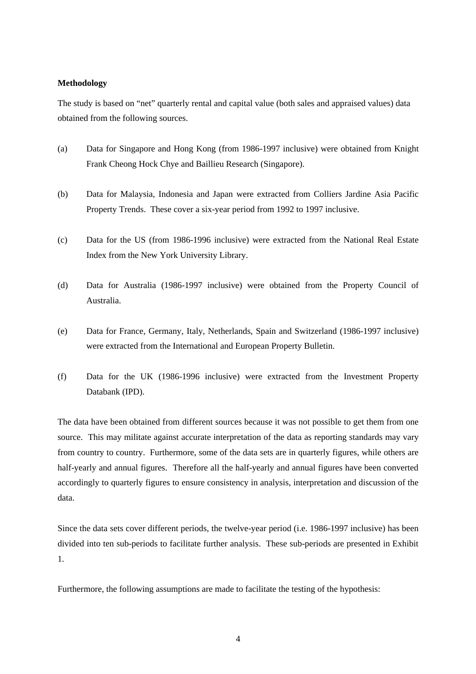### **Methodology**

The study is based on "net" quarterly rental and capital value (both sales and appraised values) data obtained from the following sources.

- (a) Data for Singapore and Hong Kong (from 1986-1997 inclusive) were obtained from Knight Frank Cheong Hock Chye and Baillieu Research (Singapore).
- (b) Data for Malaysia, Indonesia and Japan were extracted from Colliers Jardine Asia Pacific Property Trends. These cover a six-year period from 1992 to 1997 inclusive.
- (c) Data for the US (from 1986-1996 inclusive) were extracted from the National Real Estate Index from the New York University Library.
- (d) Data for Australia (1986-1997 inclusive) were obtained from the Property Council of Australia.
- (e) Data for France, Germany, Italy, Netherlands, Spain and Switzerland (1986-1997 inclusive) were extracted from the International and European Property Bulletin.
- (f) Data for the UK (1986-1996 inclusive) were extracted from the Investment Property Databank (IPD).

The data have been obtained from different sources because it was not possible to get them from one source. This may militate against accurate interpretation of the data as reporting standards may vary from country to country. Furthermore, some of the data sets are in quarterly figures, while others are half-yearly and annual figures. Therefore all the half-yearly and annual figures have been converted accordingly to quarterly figures to ensure consistency in analysis, interpretation and discussion of the data.

Since the data sets cover different periods, the twelve-year period (i.e. 1986-1997 inclusive) has been divided into ten sub-periods to facilitate further analysis. These sub-periods are presented in Exhibit 1.

Furthermore, the following assumptions are made to facilitate the testing of the hypothesis: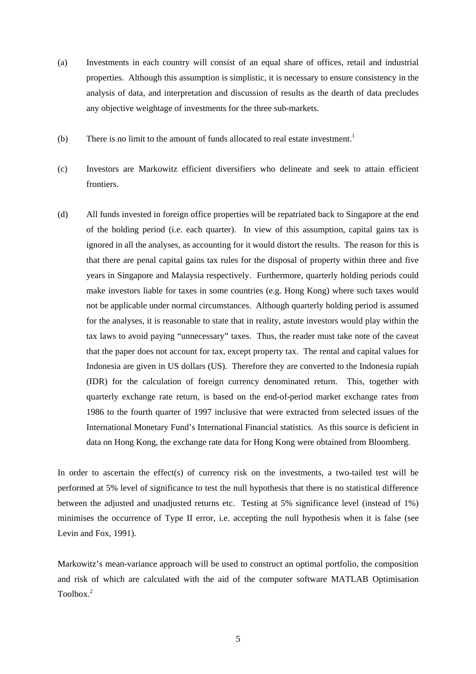- (a) Investments in each country will consist of an equal share of offices, retail and industrial properties. Although this assumption is simplistic, it is necessary to ensure consistency in the analysis of data, and interpretation and discussion of results as the dearth of data precludes any objective weightage of investments for the three sub-markets.
- (b) There is no limit to the amount of funds allocated to real estate investment.<sup>1</sup>
- (c) Investors are Markowitz efficient diversifiers who delineate and seek to attain efficient frontiers.
- (d) All funds invested in foreign office properties will be repatriated back to Singapore at the end of the holding period (i.e. each quarter). In view of this assumption, capital gains tax is ignored in all the analyses, as accounting for it would distort the results. The reason for this is that there are penal capital gains tax rules for the disposal of property within three and five years in Singapore and Malaysia respectively. Furthermore, quarterly holding periods could make investors liable for taxes in some countries (e.g. Hong Kong) where such taxes would not be applicable under normal circumstances. Although quarterly holding period is assumed for the analyses, it is reasonable to state that in reality, astute investors would play within the tax laws to avoid paying "unnecessary" taxes. Thus, the reader must take note of the caveat that the paper does not account for tax, except property tax. The rental and capital values for Indonesia are given in US dollars (US). Therefore they are converted to the Indonesia rupiah (IDR) for the calculation of foreign currency denominated return. This, together with quarterly exchange rate return, is based on the end-of-period market exchange rates from 1986 to the fourth quarter of 1997 inclusive that were extracted from selected issues of the International Monetary Fund's International Financial statistics. As this source is deficient in data on Hong Kong, the exchange rate data for Hong Kong were obtained from Bloomberg.

In order to ascertain the effect(s) of currency risk on the investments, a two-tailed test will be performed at 5% level of significance to test the null hypothesis that there is no statistical difference between the adjusted and unadjusted returns etc. Testing at 5% significance level (instead of 1%) minimises the occurrence of Type II error, i.e. accepting the null hypothesis when it is false (see Levin and Fox, 1991).

Markowitz's mean-variance approach will be used to construct an optimal portfolio, the composition and risk of which are calculated with the aid of the computer software MATLAB Optimisation Toolbox $^2$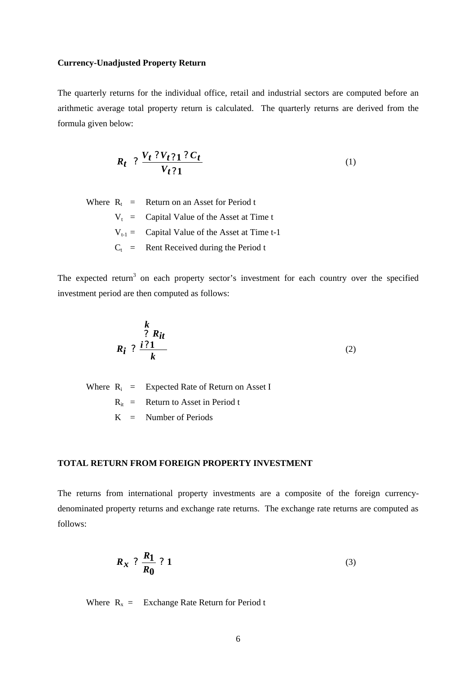#### **Currency-Unadjusted Property Return**

The quarterly returns for the individual office, retail and industrial sectors are computed before an arithmetic average total property return is calculated. The quarterly returns are derived from the formula given below:

$$
R_t \; ? \; \frac{V_t \; ? \; V_t \; ? \; C_t}{V_t \; ? \; 1} \tag{1}
$$

Where  $R_t$  = Return on an Asset for Period t  $V_t$  = Capital Value of the Asset at Time t  $V_{t-1}$  = Capital Value of the Asset at Time t-1  $C_t$  = Rent Received during the Period t

The expected return<sup>3</sup> on each property sector's investment for each country over the specified investment period are then computed as follows:

$$
R_i \stackrel{\text{R}}{?} \frac{i \cdot 21}{k} \tag{2}
$$

Where  $R_i$  = Expected Rate of Return on Asset I  $R_{it}$  = Return to Asset in Period t  $K =$  Number of Periods

# **TOTAL RETURN FROM FOREIGN PROPERTY INVESTMENT**

The returns from international property investments are a composite of the foreign currencydenominated property returns and exchange rate returns. The exchange rate returns are computed as follows:

$$
R_x ? \frac{R_1}{R_0} ? 1 \tag{3}
$$

Where  $R_x =$  Exchange Rate Return for Period t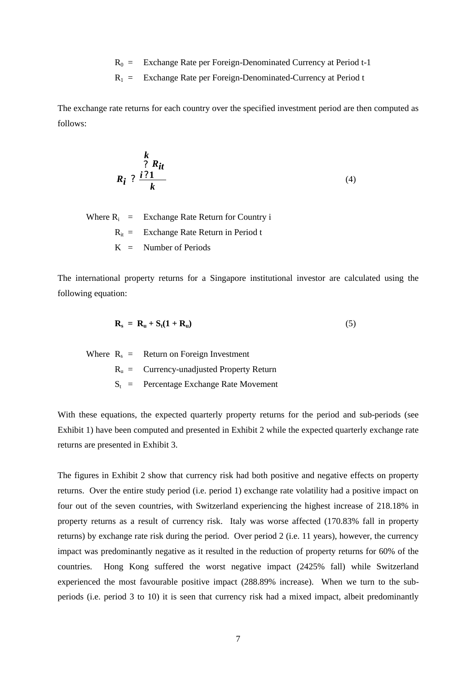$R_0 =$  Exchange Rate per Foreign-Denominated Currency at Period t-1

 $R_1$  = Exchange Rate per Foreign-Denominated-Currency at Period t

The exchange rate returns for each country over the specified investment period are then computed as follows:

$$
R_i \stackrel{\text{R}}{?} \frac{i \cdot \mathbf{R}_{it}}{k} \tag{4}
$$

Where  $R_i$  = Exchange Rate Return for Country i  $R_{it}$  = Exchange Rate Return in Period t  $K =$  Number of Periods

The international property returns for a Singapore institutional investor are calculated using the following equation:

$$
\mathbf{R}_s = \mathbf{R}_u + \mathbf{S}_t (\mathbf{1} + \mathbf{R}_u) \tag{5}
$$

Where  $R_s$  = Return on Foreign Investment  $R_u$  = Currency-unadjusted Property Return  $S_t$  = Percentage Exchange Rate Movement

With these equations, the expected quarterly property returns for the period and sub-periods (see Exhibit 1) have been computed and presented in Exhibit 2 while the expected quarterly exchange rate returns are presented in Exhibit 3.

The figures in Exhibit 2 show that currency risk had both positive and negative effects on property returns. Over the entire study period (i.e. period 1) exchange rate volatility had a positive impact on four out of the seven countries, with Switzerland experiencing the highest increase of 218.18% in property returns as a result of currency risk. Italy was worse affected (170.83% fall in property returns) by exchange rate risk during the period. Over period 2 (i.e. 11 years), however, the currency impact was predominantly negative as it resulted in the reduction of property returns for 60% of the countries. Hong Kong suffered the worst negative impact (2425% fall) while Switzerland experienced the most favourable positive impact (288.89% increase). When we turn to the subperiods (i.e. period 3 to 10) it is seen that currency risk had a mixed impact, albeit predominantly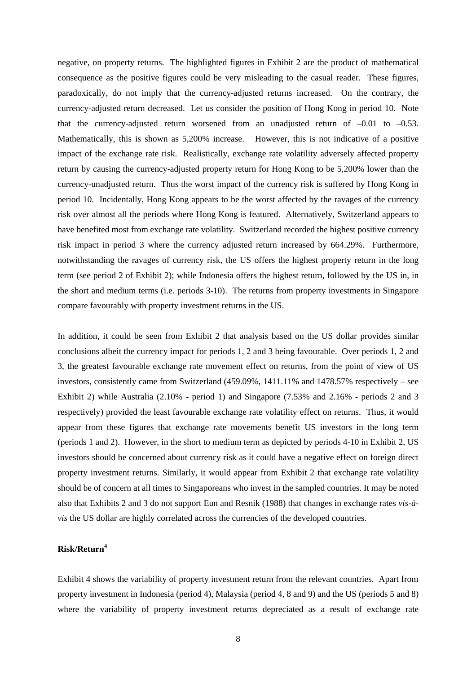negative, on property returns. The highlighted figures in Exhibit 2 are the product of mathematical consequence as the positive figures could be very misleading to the casual reader. These figures, paradoxically, do not imply that the currency-adjusted returns increased. On the contrary, the currency-adjusted return decreased. Let us consider the position of Hong Kong in period 10. Note that the currency-adjusted return worsened from an unadjusted return of  $-0.01$  to  $-0.53$ . Mathematically, this is shown as 5,200% increase. However, this is not indicative of a positive impact of the exchange rate risk. Realistically, exchange rate volatility adversely affected property return by causing the currency-adjusted property return for Hong Kong to be 5,200% lower than the currency-unadjusted return. Thus the worst impact of the currency risk is suffered by Hong Kong in period 10. Incidentally, Hong Kong appears to be the worst affected by the ravages of the currency risk over almost all the periods where Hong Kong is featured. Alternatively, Switzerland appears to have benefited most from exchange rate volatility. Switzerland recorded the highest positive currency risk impact in period 3 where the currency adjusted return increased by 664.29%. Furthermore, notwithstanding the ravages of currency risk, the US offers the highest property return in the long term (see period 2 of Exhibit 2); while Indonesia offers the highest return, followed by the US in, in the short and medium terms (i.e. periods 3-10). The returns from property investments in Singapore compare favourably with property investment returns in the US.

In addition, it could be seen from Exhibit 2 that analysis based on the US dollar provides similar conclusions albeit the currency impact for periods 1, 2 and 3 being favourable. Over periods 1, 2 and 3, the greatest favourable exchange rate movement effect on returns, from the point of view of US investors, consistently came from Switzerland (459.09%, 1411.11% and 1478.57% respectively – see Exhibit 2) while Australia (2.10% - period 1) and Singapore (7.53% and 2.16% - periods 2 and 3 respectively) provided the least favourable exchange rate volatility effect on returns. Thus, it would appear from these figures that exchange rate movements benefit US investors in the long term (periods 1 and 2). However, in the short to medium term as depicted by periods 4-10 in Exhibit 2, US investors should be concerned about currency risk as it could have a negative effect on foreign direct property investment returns. Similarly, it would appear from Exhibit 2 that exchange rate volatility should be of concern at all times to Singaporeans who invest in the sampled countries. It may be noted also that Exhibits 2 and 3 do not support Eun and Resnik (1988) that changes in exchange rates *vis-àvis* the US dollar are highly correlated across the currencies of the developed countries.

# **Risk/Return<sup>4</sup>**

Exhibit 4 shows the variability of property investment return from the relevant countries. Apart from property investment in Indonesia (period 4), Malaysia (period 4, 8 and 9) and the US (periods 5 and 8) where the variability of property investment returns depreciated as a result of exchange rate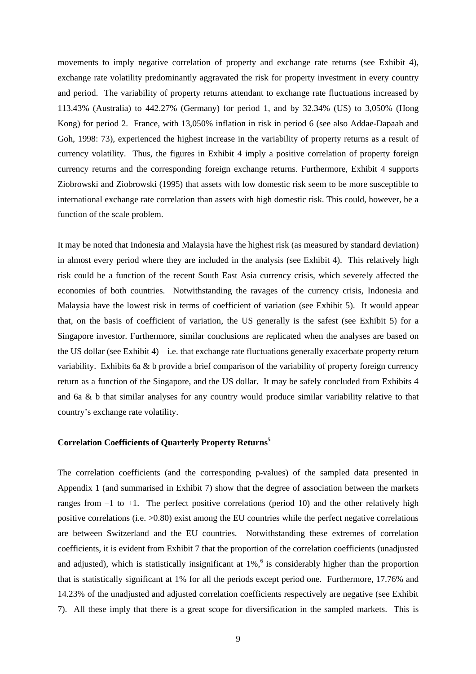movements to imply negative correlation of property and exchange rate returns (see Exhibit 4), exchange rate volatility predominantly aggravated the risk for property investment in every country and period. The variability of property returns attendant to exchange rate fluctuations increased by 113.43% (Australia) to 442.27% (Germany) for period 1, and by 32.34% (US) to 3,050% (Hong Kong) for period 2. France, with 13,050% inflation in risk in period 6 (see also Addae-Dapaah and Goh, 1998: 73), experienced the highest increase in the variability of property returns as a result of currency volatility. Thus, the figures in Exhibit 4 imply a positive correlation of property foreign currency returns and the corresponding foreign exchange returns. Furthermore, Exhibit 4 supports Ziobrowski and Ziobrowski (1995) that assets with low domestic risk seem to be more susceptible to international exchange rate correlation than assets with high domestic risk. This could, however, be a function of the scale problem.

It may be noted that Indonesia and Malaysia have the highest risk (as measured by standard deviation) in almost every period where they are included in the analysis (see Exhibit 4). This relatively high risk could be a function of the recent South East Asia currency crisis, which severely affected the economies of both countries. Notwithstanding the ravages of the currency crisis, Indonesia and Malaysia have the lowest risk in terms of coefficient of variation (see Exhibit 5). It would appear that, on the basis of coefficient of variation, the US generally is the safest (see Exhibit 5) for a Singapore investor. Furthermore, similar conclusions are replicated when the analyses are based on the US dollar (see Exhibit 4) – i.e. that exchange rate fluctuations generally exacerbate property return variability. Exhibits 6a & b provide a brief comparison of the variability of property foreign currency return as a function of the Singapore, and the US dollar. It may be safely concluded from Exhibits 4 and 6a & b that similar analyses for any country would produce similar variability relative to that country's exchange rate volatility.

# **Correlation Coefficients of Quarterly Property Returns<sup>5</sup>**

The correlation coefficients (and the corresponding p-values) of the sampled data presented in Appendix 1 (and summarised in Exhibit 7) show that the degree of association between the markets ranges from  $-1$  to  $+1$ . The perfect positive correlations (period 10) and the other relatively high positive correlations (i.e. >0.80) exist among the EU countries while the perfect negative correlations are between Switzerland and the EU countries. Notwithstanding these extremes of correlation coefficients, it is evident from Exhibit 7 that the proportion of the correlation coefficients (unadjusted and adjusted), which is statistically insignificant at  $1\%$ , <sup>6</sup> is considerably higher than the proportion that is statistically significant at 1% for all the periods except period one. Furthermore, 17.76% and 14.23% of the unadjusted and adjusted correlation coefficients respectively are negative (see Exhibit 7). All these imply that there is a great scope for diversification in the sampled markets. This is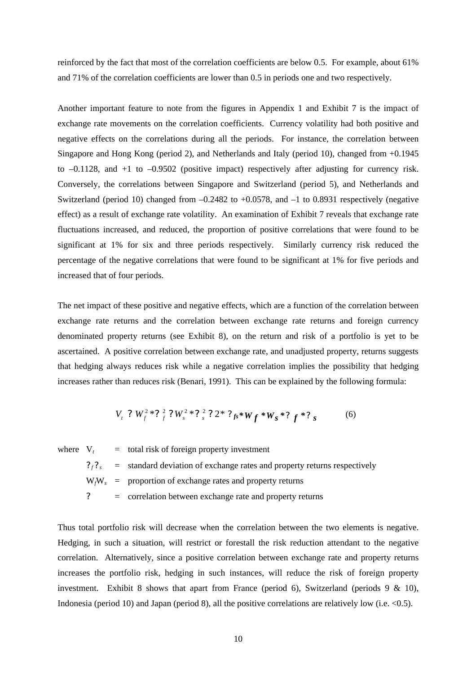reinforced by the fact that most of the correlation coefficients are below 0.5. For example, about 61% and 71% of the correlation coefficients are lower than 0.5 in periods one and two respectively.

Another important feature to note from the figures in Appendix 1 and Exhibit 7 is the impact of exchange rate movements on the correlation coefficients. Currency volatility had both positive and negative effects on the correlations during all the periods. For instance, the correlation between Singapore and Hong Kong (period 2), and Netherlands and Italy (period 10), changed from +0.1945 to –0.1128, and +1 to –0.9502 (positive impact) respectively after adjusting for currency risk. Conversely, the correlations between Singapore and Switzerland (period 5), and Netherlands and Switzerland (period 10) changed from  $-0.2482$  to  $+0.0578$ , and  $-1$  to 0.8931 respectively (negative effect) as a result of exchange rate volatility. An examination of Exhibit 7 reveals that exchange rate fluctuations increased, and reduced, the proportion of positive correlations that were found to be significant at 1% for six and three periods respectively. Similarly currency risk reduced the percentage of the negative correlations that were found to be significant at 1% for five periods and increased that of four periods.

The net impact of these positive and negative effects, which are a function of the correlation between exchange rate returns and the correlation between exchange rate returns and foreign currency denominated property returns (see Exhibit 8), on the return and risk of a portfolio is yet to be ascertained. A positive correlation between exchange rate, and unadjusted property, returns suggests that hedging always reduces risk while a negative correlation implies the possibility that hedging increases rather than reduces risk (Benari, 1991). This can be explained by the following formula:

$$
V_t ? W_f^2 * ?_f^2 ? W_s^2 * ?_f^2 ? 2 * ?_{fs} * W_f * W_s * ?_f * ?_s
$$
 (6)

where  $V_t$  = total risk of foreign property investment  $?_{f}$ ?  $=$  standard deviation of exchange rates and property returns respectively W*f*W*<sup>s</sup>* = proportion of exchange rates and property returns **?** = correlation between exchange rate and property returns

Thus total portfolio risk will decrease when the correlation between the two elements is negative. Hedging, in such a situation, will restrict or forestall the risk reduction attendant to the negative correlation. Alternatively, since a positive correlation between exchange rate and property returns increases the portfolio risk, hedging in such instances, will reduce the risk of foreign property investment. Exhibit 8 shows that apart from France (period 6), Switzerland (periods 9 & 10), Indonesia (period 10) and Japan (period 8), all the positive correlations are relatively low (i.e.  $\langle 0.5 \rangle$ .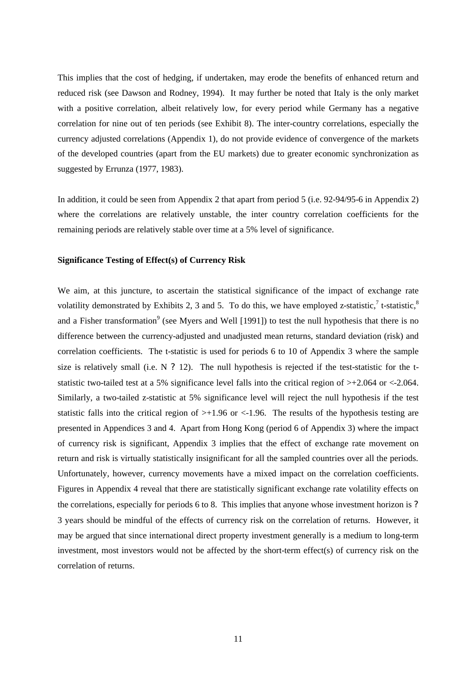This implies that the cost of hedging, if undertaken, may erode the benefits of enhanced return and reduced risk (see Dawson and Rodney, 1994). It may further be noted that Italy is the only market with a positive correlation, albeit relatively low, for every period while Germany has a negative correlation for nine out of ten periods (see Exhibit 8). The inter-country correlations, especially the currency adjusted correlations (Appendix 1), do not provide evidence of convergence of the markets of the developed countries (apart from the EU markets) due to greater economic synchronization as suggested by Errunza (1977, 1983).

In addition, it could be seen from Appendix 2 that apart from period 5 (i.e. 92-94/95-6 in Appendix 2) where the correlations are relatively unstable, the inter country correlation coefficients for the remaining periods are relatively stable over time at a 5% level of significance.

## **Significance Testing of Effect(s) of Currency Risk**

We aim, at this juncture, to ascertain the statistical significance of the impact of exchange rate volatility demonstrated by Exhibits 2, 3 and 5. To do this, we have employed z-statistic,<sup>7</sup> t-statistic,<sup>8</sup> and a Fisher transformation<sup>9</sup> (see Myers and Well [1991]) to test the null hypothesis that there is no difference between the currency-adjusted and unadjusted mean returns, standard deviation (risk) and correlation coefficients. The t-statistic is used for periods 6 to 10 of Appendix 3 where the sample size is relatively small (i.e. N ? 12). The null hypothesis is rejected if the test-statistic for the tstatistic two-tailed test at a 5% significance level falls into the critical region of >+2.064 or <-2.064. Similarly, a two-tailed z-statistic at 5% significance level will reject the null hypothesis if the test statistic falls into the critical region of  $> +1.96$  or  $< -1.96$ . The results of the hypothesis testing are presented in Appendices 3 and 4. Apart from Hong Kong (period 6 of Appendix 3) where the impact of currency risk is significant, Appendix 3 implies that the effect of exchange rate movement on return and risk is virtually statistically insignificant for all the sampled countries over all the periods. Unfortunately, however, currency movements have a mixed impact on the correlation coefficients. Figures in Appendix 4 reveal that there are statistically significant exchange rate volatility effects on the correlations, especially for periods 6 to 8. This implies that anyone whose investment horizon is ? 3 years should be mindful of the effects of currency risk on the correlation of returns. However, it may be argued that since international direct property investment generally is a medium to long-term investment, most investors would not be affected by the short-term effect(s) of currency risk on the correlation of returns.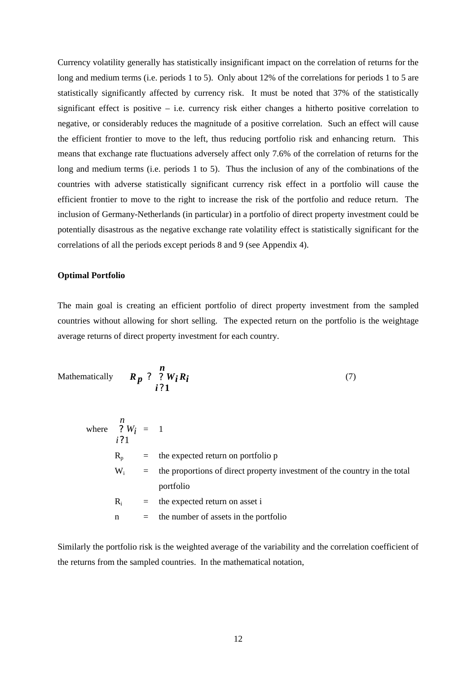Currency volatility generally has statistically insignificant impact on the correlation of returns for the long and medium terms (i.e. periods 1 to 5). Only about 12% of the correlations for periods 1 to 5 are statistically significantly affected by currency risk. It must be noted that 37% of the statistically significant effect is positive – i.e. currency risk either changes a hitherto positive correlation to negative, or considerably reduces the magnitude of a positive correlation. Such an effect will cause the efficient frontier to move to the left, thus reducing portfolio risk and enhancing return. This means that exchange rate fluctuations adversely affect only 7.6% of the correlation of returns for the long and medium terms (i.e. periods 1 to 5). Thus the inclusion of any of the combinations of the countries with adverse statistically significant currency risk effect in a portfolio will cause the efficient frontier to move to the right to increase the risk of the portfolio and reduce return. The inclusion of Germany-Netherlands (in particular) in a portfolio of direct property investment could be potentially disastrous as the negative exchange rate volatility effect is statistically significant for the correlations of all the periods except periods 8 and 9 (see Appendix 4).

### **Optimal Portfolio**

The main goal is creating an efficient portfolio of direct property investment from the sampled countries without allowing for short selling. The expected return on the portfolio is the weightage average returns of direct property investment for each country.

Mathematically 
$$
R_p
$$
 ?  $W_i R_i$  (7)

where 
$$
\begin{array}{rcl}\nn \\
? & W_i & = & 1 \\
i \cdot ? & 1\n\end{array}
$$
\n\n $R_p = \text{the expected return on portfolio } p$ \n

\n\n $W_i = \text{the proportions of direct property investment of the country in the total portfolio}$ \n

\n\n $R_i = \text{the expected return on asset } i$ \n

\n\n $n = \text{the number of assets in the portfolio}$ \n

Similarly the portfolio risk is the weighted average of the variability and the correlation coefficient of the returns from the sampled countries. In the mathematical notation,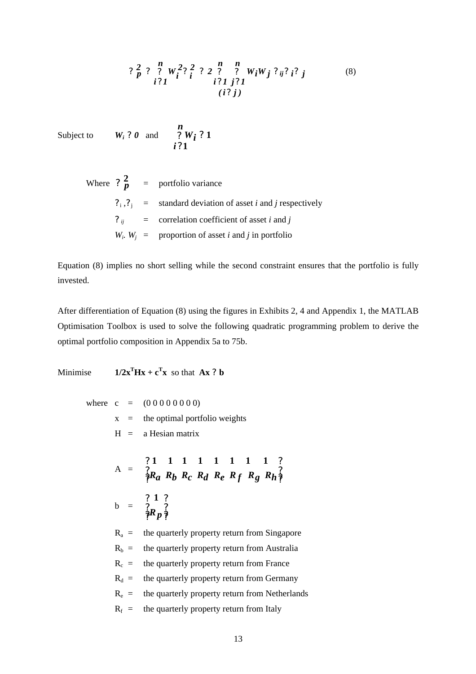$$
? \frac{2}{p} ? \frac{n}{i} W_i^2 ?_i^2 ? 2 \frac{n}{i} \frac{n}{i!} W_i W_j ?_{ij} ?_i ?_j
$$
  
(8)  
(i?j)

Subject to  $W_i$  **?** 0 and

$$
\frac{\stackrel{n}{2}W_i}{\stackrel{n}{i}31}31
$$

Where  $?^2_p$  = portfolio variance  $?_i$ ,  $?_j$  = standard deviation of asset *i* and *j* respectively **?** *ij* = correlation coefficient of asset *i* and *j*  $W_i$ ,  $W_j$  = proportion of asset *i* and *j* in portfolio

Equation (8) implies no short selling while the second constraint ensures that the portfolio is fully invested.

After differentiation of Equation (8) using the figures in Exhibits 2, 4 and Appendix 1, the MATLAB Optimisation Toolbox is used to solve the following quadratic programming problem to derive the optimal portfolio composition in Appendix 5a to 75b.

Minimise **1/2x**  $\mathbf{T}$ **Hx** +  $\mathbf{c}^{\mathbf{T}}$ **x** so that **Ax** ? **b** 

where  $c = (0\ 0\ 0\ 0\ 0\ 0\ 0)$ 

 $x =$  the optimal portfolio weights  $H = a$  Hesian matrix  $A =$ **? ? ? ? ? ? ? ?** *Ra Rb Rc Rd Re R f Rg Rh* **1 1 1 1 1 1 1 1**  $b =$ **? ? ? ? ? ? ? ?** *Rp* **1**  $R_a$  = the quarterly property return from Singapore  $R_b$  = the quarterly property return from Australia  $R_c$  = the quarterly property return from France  $R_d$  = the quarterly property return from Germany  $R_e$  = the quarterly property return from Netherlands  $R_f$  = the quarterly property return from Italy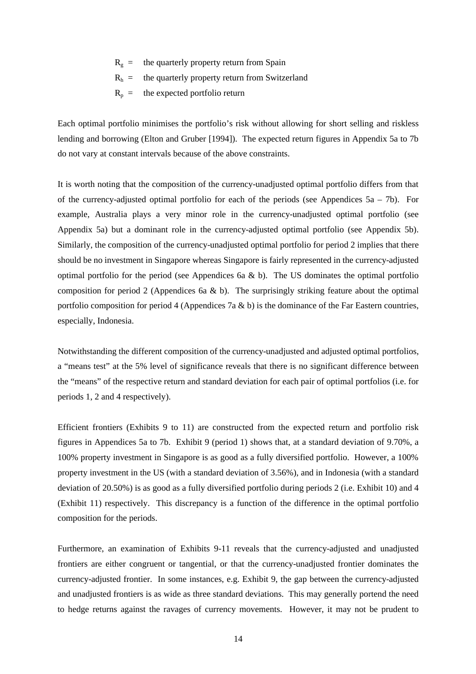- $R_{\alpha}$  = the quarterly property return from Spain
- $R<sub>h</sub>$  = the quarterly property return from Switzerland
- $R_p$  = the expected portfolio return

Each optimal portfolio minimises the portfolio's risk without allowing for short selling and riskless lending and borrowing (Elton and Gruber [1994]). The expected return figures in Appendix 5a to 7b do not vary at constant intervals because of the above constraints.

It is worth noting that the composition of the currency-unadjusted optimal portfolio differs from that of the currency-adjusted optimal portfolio for each of the periods (see Appendices  $5a - 7b$ ). For example, Australia plays a very minor role in the currency-unadjusted optimal portfolio (see Appendix 5a) but a dominant role in the currency-adjusted optimal portfolio (see Appendix 5b). Similarly, the composition of the currency-unadjusted optimal portfolio for period 2 implies that there should be no investment in Singapore whereas Singapore is fairly represented in the currency-adjusted optimal portfolio for the period (see Appendices 6a  $\&$  b). The US dominates the optimal portfolio composition for period 2 (Appendices 6a  $\&$  b). The surprisingly striking feature about the optimal portfolio composition for period 4 (Appendices 7a & b) is the dominance of the Far Eastern countries, especially, Indonesia.

Notwithstanding the different composition of the currency-unadjusted and adjusted optimal portfolios, a "means test" at the 5% level of significance reveals that there is no significant difference between the "means" of the respective return and standard deviation for each pair of optimal portfolios (i.e. for periods 1, 2 and 4 respectively).

Efficient frontiers (Exhibits 9 to 11) are constructed from the expected return and portfolio risk figures in Appendices 5a to 7b. Exhibit 9 (period 1) shows that, at a standard deviation of 9.70%, a 100% property investment in Singapore is as good as a fully diversified portfolio. However, a 100% property investment in the US (with a standard deviation of 3.56%), and in Indonesia (with a standard deviation of 20.50%) is as good as a fully diversified portfolio during periods 2 (i.e. Exhibit 10) and 4 (Exhibit 11) respectively. This discrepancy is a function of the difference in the optimal portfolio composition for the periods.

Furthermore, an examination of Exhibits 9-11 reveals that the currency-adjusted and unadjusted frontiers are either congruent or tangential, or that the currency-unadjusted frontier dominates the currency-adjusted frontier. In some instances, e.g. Exhibit 9, the gap between the currency-adjusted and unadjusted frontiers is as wide as three standard deviations. This may generally portend the need to hedge returns against the ravages of currency movements. However, it may not be prudent to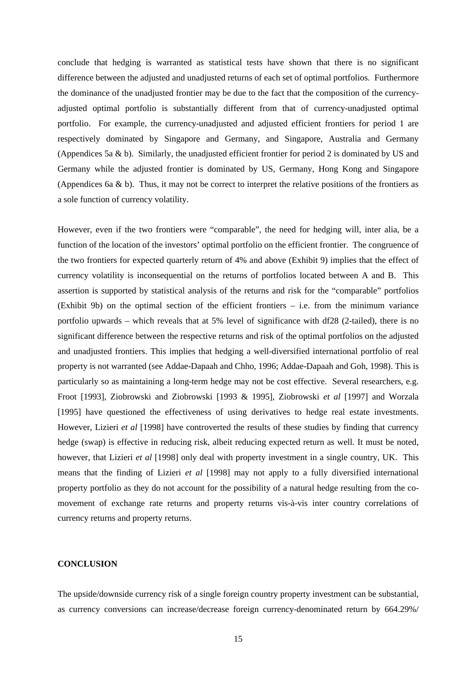conclude that hedging is warranted as statistical tests have shown that there is no significant difference between the adjusted and unadjusted returns of each set of optimal portfolios. Furthermore the dominance of the unadjusted frontier may be due to the fact that the composition of the currencyadjusted optimal portfolio is substantially different from that of currency-unadjusted optimal portfolio. For example, the currency-unadjusted and adjusted efficient frontiers for period 1 are respectively dominated by Singapore and Germany, and Singapore, Australia and Germany (Appendices 5a & b). Similarly, the unadjusted efficient frontier for period 2 is dominated by US and Germany while the adjusted frontier is dominated by US, Germany, Hong Kong and Singapore (Appendices 6a  $\&$  b). Thus, it may not be correct to interpret the relative positions of the frontiers as a sole function of currency volatility.

However, even if the two frontiers were "comparable", the need for hedging will, inter alia, be a function of the location of the investors' optimal portfolio on the efficient frontier. The congruence of the two frontiers for expected quarterly return of 4% and above (Exhibit 9) implies that the effect of currency volatility is inconsequential on the returns of portfolios located between A and B. This assertion is supported by statistical analysis of the returns and risk for the "comparable" portfolios (Exhibit 9b) on the optimal section of the efficient frontiers – i.e. from the minimum variance portfolio upwards – which reveals that at 5% level of significance with df28 (2-tailed), there is no significant difference between the respective returns and risk of the optimal portfolios on the adjusted and unadjusted frontiers. This implies that hedging a well-diversified international portfolio of real property is not warranted (see Addae-Dapaah and Chho, 1996; Addae-Dapaah and Goh, 1998). This is particularly so as maintaining a long-term hedge may not be cost effective. Several researchers, e.g. Froot [1993], Ziobrowski and Ziobrowski [1993 & 1995], Ziobrowski *et al* [1997] and Worzala [1995] have questioned the effectiveness of using derivatives to hedge real estate investments. However, Lizieri *et al* [1998] have controverted the results of these studies by finding that currency hedge (swap) is effective in reducing risk, albeit reducing expected return as well. It must be noted, however, that Lizieri *et al* [1998] only deal with property investment in a single country, UK. This means that the finding of Lizieri *et al* [1998] may not apply to a fully diversified international property portfolio as they do not account for the possibility of a natural hedge resulting from the comovement of exchange rate returns and property returns vis-à-vis inter country correlations of currency returns and property returns.

# **CONCLUSION**

The upside/downside currency risk of a single foreign country property investment can be substantial, as currency conversions can increase/decrease foreign currency-denominated return by 664.29%/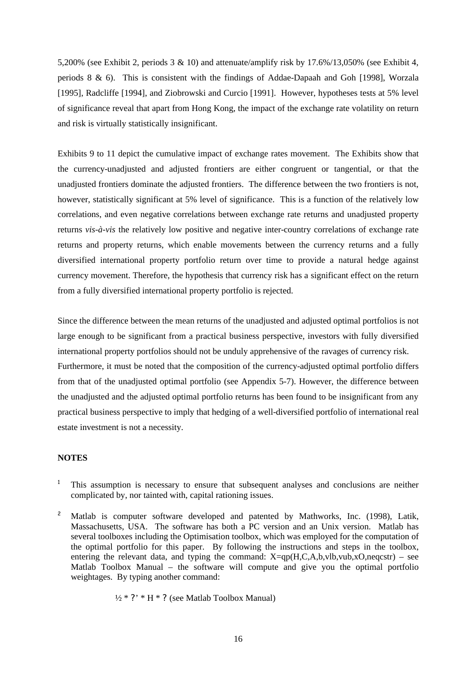5,200% (see Exhibit 2, periods 3 & 10) and attenuate/amplify risk by 17.6%/13,050% (see Exhibit 4, periods 8 & 6). This is consistent with the findings of Addae-Dapaah and Goh [1998], Worzala [1995], Radcliffe [1994], and Ziobrowski and Curcio [1991]. However, hypotheses tests at 5% level of significance reveal that apart from Hong Kong, the impact of the exchange rate volatility on return and risk is virtually statistically insignificant.

Exhibits 9 to 11 depict the cumulative impact of exchange rates movement. The Exhibits show that the currency-unadjusted and adjusted frontiers are either congruent or tangential, or that the unadjusted frontiers dominate the adjusted frontiers. The difference between the two frontiers is not, however, statistically significant at 5% level of significance. This is a function of the relatively low correlations, and even negative correlations between exchange rate returns and unadjusted property returns *vis-à-vis* the relatively low positive and negative inter-country correlations of exchange rate returns and property returns, which enable movements between the currency returns and a fully diversified international property portfolio return over time to provide a natural hedge against currency movement. Therefore, the hypothesis that currency risk has a significant effect on the return from a fully diversified international property portfolio is rejected.

Since the difference between the mean returns of the unadjusted and adjusted optimal portfolios is not large enough to be significant from a practical business perspective, investors with fully diversified international property portfolios should not be unduly apprehensive of the ravages of currency risk. Furthermore, it must be noted that the composition of the currency-adjusted optimal portfolio differs from that of the unadjusted optimal portfolio (see Appendix 5-7). However, the difference between the unadjusted and the adjusted optimal portfolio returns has been found to be insignificant from any practical business perspective to imply that hedging of a well-diversified portfolio of international real estate investment is not a necessity.

#### **NOTES**

- $1$ . This assumption is necessary to ensure that subsequent analyses and conclusions are neither complicated by, nor tainted with, capital rationing issues.
- <sup>2</sup> Matlab is computer software developed and patented by Mathworks, Inc. (1998), Latik, Massachusetts, USA. The software has both a PC version and an Unix version. Matlab has several toolboxes including the Optimisation toolbox, which was employed for the computation of the optimal portfolio for this paper. By following the instructions and steps in the toolbox, entering the relevant data, and typing the command:  $X=qp(H,C,A,b,vlb,vub,xO,neqcstr)$  – see Matlab Toolbox Manual – the software will compute and give you the optimal portfolio weightages. By typing another command:

$$
\frac{1}{2} * ?
$$
 \* H \* ? (see Matlab Toolbox Manual)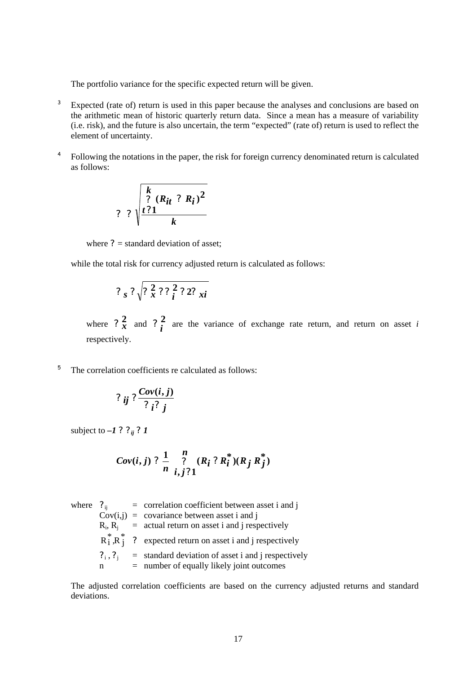The portfolio variance for the specific expected return will be given.

- <sup>3</sup> Expected (rate of) return is used in this paper because the analyses and conclusions are based on the arithmetic mean of historic quarterly return data. Since a mean has a measure of variability (i.e. risk), and the future is also uncertain, the term "expected" (rate of) return is used to reflect the element of uncertainty.
- <sup>4</sup> Following the notations in the paper, the risk for foreign currency denominated return is calculated as follows:

$$
? \; \sqrt{\frac{\sum_{i=1}^{k} (R_{it} ? R_i)^2}{k}}
$$

where  $? =$  standard deviation of asset;

while the total risk for currency adjusted return is calculated as follows:

$$
?_{s}?\sqrt{?_{x}^2?_{i}^2?_{zi}^2}
$$

where  $2\frac{2}{x}$  and  $2\frac{2}{i}$  are the variance of exchange rate return, and return on asset *i* respectively.

<sup>5</sup> The correlation coefficients re calculated as follows:

$$
?_{ij}?\frac{Cov(i,j)}{?_{i}?_{j}}
$$

subject to  $-1$  ?  $?_{ij}$  ? 1

Cov(i, j) ? 
$$
\frac{1}{n} \sum_{i, j \nmid 1}^{n} (R_i ? R_i^*)(R_j R_j^*)
$$

where 
$$
?_{ij}
$$
 = correlation coefficient between asset i and j Cov(i,j) = covariance between asset i and j  $R_i$ ,  $R_j$  = actual return on asset i and j respectively  $R_i^*, R_j^*$  ? expected return on asset i and j respectively  $?_{i}, ?_{j}$  = standard deviation of asset i and j respectively  $n$  = number of equally likely joint outcomes

The adjusted correlation coefficients are based on the currency adjusted returns and standard deviations.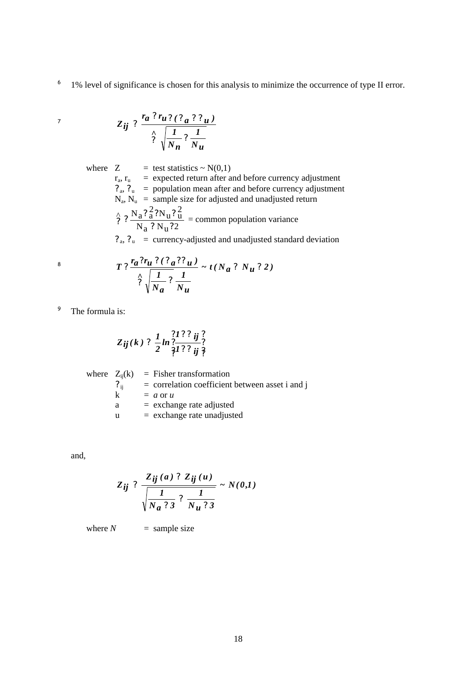6 1% level of significance is chosen for this analysis to minimize the occurrence of type II error.

$$
Z_{ij} \cdot \frac{r_a \cdot r_u \cdot (r_a \cdot r_u)}{\left(\frac{1}{N_n} \cdot \frac{1}{N_u}\right)}
$$

where  $Z = \text{test statistics} \sim N(0,1)$  $r_a$ ,  $r_u$  = expected return after and before currency adjustment  $?_{\text{a}}$ ,  $?_{\text{u}}$  = population mean after and before currency adjustment  $N_a$ ,  $N_u$  = sample size for adjusted and unadjusted return  $N_a$  ?  $N_u$  ? 2  $\frac{\lambda}{2}$ ,  $\frac{N_a?^2_2?N_u?^2_u}{N_u}$  $? N<sub>u</sub>$ ?  $\frac{\gamma}{\gamma}$  ?  $\frac{N_a ? a ? N_u ? u}{N_a ? N_u ? ?}$  = common population variance  $?_{\mathrm{a}}$ ,  $?_{\mathrm{u}}$  = currency-adjusted and unadjusted standard deviation

$$
T\,t\frac{r_a r_u \,2 \,(\,r_a \,2 \,r_u\,)}{\hat{r}\sqrt{\frac{I}{N_a}\,2\,\frac{I}{N_u}}}\sim t\,(\,N_a\,2\,N_u\,2\,2\,)
$$

<sup>9</sup> The formula is:

7

$$
Z_{ij}(k) ? \frac{1}{2} ln \frac{? 1 ? ?_{ij} ?}{? 1 ? ?_{ij} ?}
$$

|          | where $Z_{ii}(k)$ = Fisher transformation         |
|----------|---------------------------------------------------|
| $?_{ii}$ | $=$ correlation coefficient between asset i and j |
| k        | $= a$ or u                                        |
| a        | $=$ exchange rate adjusted                        |
| u        | $=$ exchange rate unadjusted                      |

and,

$$
Z_{ij} \n\begin{array}{c} Z_{ij}(a) \n\end{array} \n\frac{Z_{ij}(a) \n\begin{array}{c} Z_{ij}(u) \\ \n\end{array} \n\frac{1}{N_a \n\begin{array}{c} 3 \n\end{array} \n\frac{1}{N_u \n\begin{array}{c} 3 \n\end{array}} \n\sim N(0,1)
$$

where  $N =$  sample size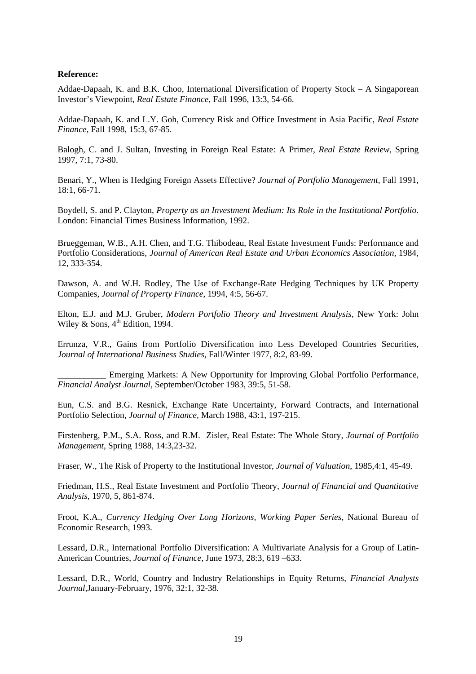### **Reference:**

Addae-Dapaah, K. and B.K. Choo, International Diversification of Property Stock – A Singaporean Investor's Viewpoint, *Real Estate Finance,* Fall 1996, 13:3, 54-66.

Addae-Dapaah, K. and L.Y. Goh, Currency Risk and Office Investment in Asia Pacific, *Real Estate Finance,* Fall 1998, 15:3, 67-85.

Balogh, C. and J. Sultan, Investing in Foreign Real Estate: A Primer, *Real Estate Review,* Spring 1997, 7:1, 73-80.

Benari, Y., When is Hedging Foreign Assets Effective? *Journal of Portfolio Management,* Fall 1991, 18:1, 66-71.

Boydell, S. and P. Clayton, *Property as an Investment Medium: Its Role in the Institutional Portfolio.* London: Financial Times Business Information, 1992.

Brueggeman, W.B., A.H. Chen, and T.G. Thibodeau, Real Estate Investment Funds: Performance and Portfolio Considerations, *Journal of American Real Estate and Urban Economics Association*, 1984, 12, 333-354.

Dawson, A. and W.H. Rodley, The Use of Exchange-Rate Hedging Techniques by UK Property Companies, *Journal of Property Finance*, 1994, 4:5, 56-67.

Elton, E.J. and M.J. Gruber, *Modern Portfolio Theory and Investment Analysis*, New York: John Wiley & Sons,  $4^{\text{th}}$  Edition, 1994.

Errunza, V.R., Gains from Portfolio Diversification into Less Developed Countries Securities, *Journal of International Business Studies,* Fall/Winter 1977, 8:2, 83-99.

Emerging Markets: A New Opportunity for Improving Global Portfolio Performance, *Financial Analyst Journal,* September/October 1983, 39:5, 51-58.

Eun, C.S. and B.G. Resnick, Exchange Rate Uncertainty, Forward Contracts, and International Portfolio Selection, *Journal of Finance,* March 1988, 43:1, 197-215.

Firstenberg, P.M., S.A. Ross, and R.M. Zisler, Real Estate: The Whole Story, *Journal of Portfolio Management,* Spring 1988, 14:3,23-32.

Fraser, W., The Risk of Property to the Institutional Investor, *Journal of Valuation*, 1985,4:1, 45-49.

Friedman, H.S., Real Estate Investment and Portfolio Theory, *Journal of Financial and Quantitative Analysis*, 1970, 5, 861-874.

Froot, K.A., *Currency Hedging Over Long Horizons, Working Paper Series*, National Bureau of Economic Research, 1993.

Lessard, D.R., International Portfolio Diversification: A Multivariate Analysis for a Group of Latin-American Countries, *Journal of Finance,* June 1973, 28:3, 619 –633.

Lessard, D.R., World, Country and Industry Relationships in Equity Returns, *Financial Analysts Journal*,January-February, 1976, 32:1, 32-38.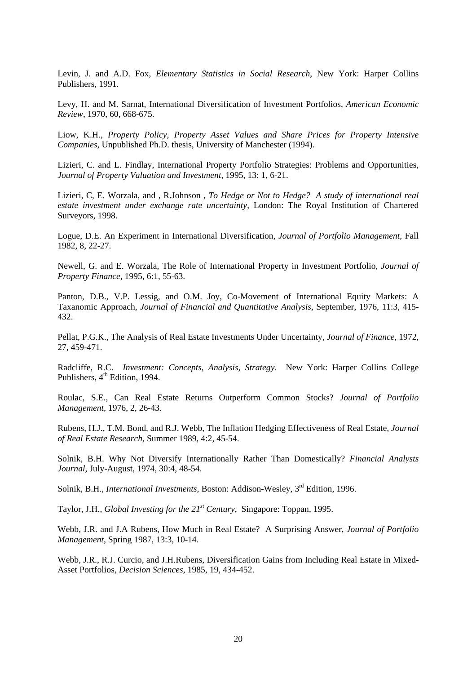Levin, J. and A.D. Fox, *Elementary Statistics in Social Research*, New York: Harper Collins Publishers, 1991.

Levy, H. and M. Sarnat, International Diversification of Investment Portfolios, *American Economic Review,* 1970, 60, 668-675.

Liow, K.H., *Property Policy, Property Asset Values and Share Prices for Property Intensive Companies*, Unpublished Ph.D. thesis, University of Manchester (1994).

Lizieri, C. and L. Findlay, International Property Portfolio Strategies: Problems and Opportunities, *Journal of Property Valuation and Investment*, 1995, 13: 1, 6-21.

Lizieri, C, E. Worzala, and , R.Johnson , *To Hedge or Not to Hedge? A study of international real estate investment under exchange rate uncertainty*, London: The Royal Institution of Chartered Surveyors, 1998.

Logue, D.E. An Experiment in International Diversification, *Journal of Portfolio Management*, Fall 1982, 8, 22-27.

Newell, G. and E. Worzala, The Role of International Property in Investment Portfolio, *Journal of Property Finance,* 1995, 6:1, 55-63.

Panton, D.B., V.P. Lessig, and O.M. Joy, Co-Movement of International Equity Markets: A Taxanomic Approach, *Journal of Financial and Quantitative Analysis,* September, 1976, 11:3, 415- 432.

Pellat, P.G.K., The Analysis of Real Estate Investments Under Uncertainty, *Journal of Finance,* 1972, 27, 459-471.

Radcliffe, R.C. *Investment: Concepts, Analysis, Strategy*. New York: Harper Collins College Publishers,  $4^{\text{th}}$  Edition, 1994.

Roulac, S.E., Can Real Estate Returns Outperform Common Stocks? *Journal of Portfolio Management,* 1976, 2, 26-43.

Rubens, H.J., T.M. Bond, and R.J. Webb, The Inflation Hedging Effectiveness of Real Estate, *Journal of Real Estate Research*, Summer 1989, 4:2, 45-54.

Solnik, B.H. Why Not Diversify Internationally Rather Than Domestically? *Financial Analysts Journal*, July-August, 1974, 30:4, 48-54.

Solnik, B.H., *International Investments*, Boston: Addison-Wesley, 3<sup>rd</sup> Edition, 1996.

Taylor, J.H., *Global Investing for the 21st Century*, Singapore: Toppan, 1995.

Webb, J.R. and J.A Rubens, How Much in Real Estate? A Surprising Answer, *Journal of Portfolio Management*, Spring 1987, 13:3, 10-14.

Webb, J.R., R.J. Curcio, and J.H.Rubens, Diversification Gains from Including Real Estate in Mixed-Asset Portfolios, *Decision Sciences*, 1985, 19, 434-452.